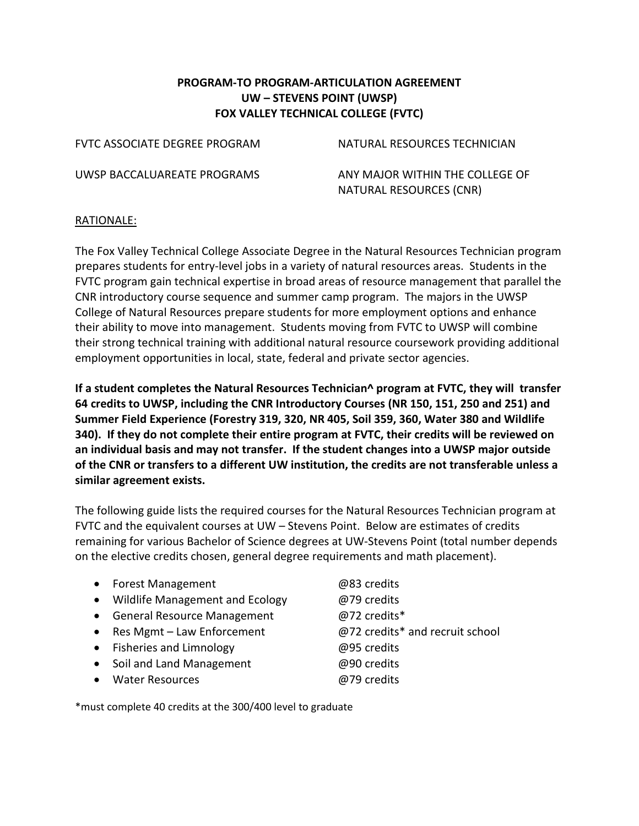## **PROGRAM-TO PROGRAM-ARTICULATION AGREEMENT UW – STEVENS POINT (UWSP) FOX VALLEY TECHNICAL COLLEGE (FVTC)**

FVTC ASSOCIATE DEGREE PROGRAM NATURAL RESOURCES TECHNICIAN

UWSP BACCALUAREATE PROGRAMS ANY MAJOR WITHIN THE COLLEGE OF NATURAL RESOURCES (CNR)

### RATIONALE:

The Fox Valley Technical College Associate Degree in the Natural Resources Technician program prepares students for entry-level jobs in a variety of natural resources areas. Students in the FVTC program gain technical expertise in broad areas of resource management that parallel the CNR introductory course sequence and summer camp program. The majors in the UWSP College of Natural Resources prepare students for more employment options and enhance their ability to move into management. Students moving from FVTC to UWSP will combine their strong technical training with additional natural resource coursework providing additional employment opportunities in local, state, federal and private sector agencies.

**If a student completes the Natural Resources Technician^ program at FVTC, they will transfer 64 credits to UWSP, including the CNR Introductory Courses (NR 150, 151, 250 and 251) and Summer Field Experience (Forestry 319, 320, NR 405, Soil 359, 360, Water 380 and Wildlife 340). If they do not complete their entire program at FVTC, their credits will be reviewed on an individual basis and may not transfer. If the student changes into a UWSP major outside of the CNR or transfers to a different UW institution, the credits are not transferable unless a similar agreement exists.**

The following guide lists the required courses for the Natural Resources Technician program at FVTC and the equivalent courses at UW – Stevens Point. Below are estimates of credits remaining for various Bachelor of Science degrees at UW-Stevens Point (total number depends on the elective credits chosen, general degree requirements and math placement).

- Forest Management @83 credits • Wildlife Management and Ecology @79 credits • General Resource Management @72 credits\* • Res Mgmt – Law Enforcement @72 credits\* and recruit school • Fisheries and Limnology @95 credits
- Soil and Land Management **@90** credits
- Water Resources @79 credits

\*must complete 40 credits at the 300/400 level to graduate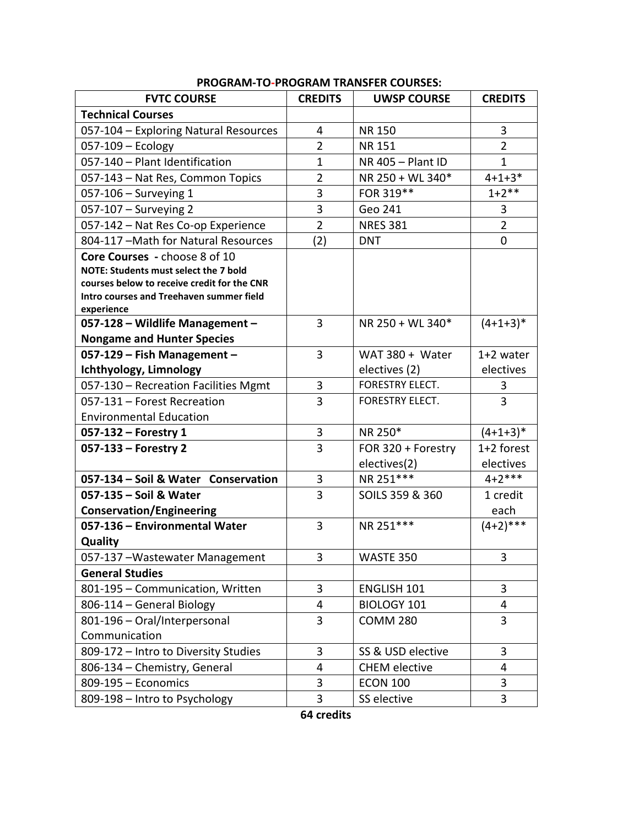| <b>FVTC COURSE</b>                            | <b>CREDITS</b> | <b>UWSP COURSE</b>   | <b>CREDITS</b> |
|-----------------------------------------------|----------------|----------------------|----------------|
| <b>Technical Courses</b>                      |                |                      |                |
| 057-104 - Exploring Natural Resources         | 4              | <b>NR150</b>         | 3              |
| 057-109 - Ecology                             | $\overline{2}$ | <b>NR151</b>         | $\overline{2}$ |
| 057-140 - Plant Identification                | 1              | NR 405 - Plant ID    | 1              |
| 057-143 - Nat Res, Common Topics              | $\overline{2}$ | NR 250 + WL 340*     | $4 + 1 + 3*$   |
| 057-106 - Surveying 1                         | 3              | FOR 319**            | $1+2**$        |
| 057-107 - Surveying 2                         | 3              | Geo 241              | 3              |
| 057-142 - Nat Res Co-op Experience            | $\overline{2}$ | <b>NRES 381</b>      | $\overline{2}$ |
| 804-117 - Math for Natural Resources          | (2)            | <b>DNT</b>           | 0              |
| Core Courses - choose 8 of 10                 |                |                      |                |
| NOTE: Students must select the 7 bold         |                |                      |                |
| courses below to receive credit for the CNR   |                |                      |                |
| Intro courses and Treehaven summer field      |                |                      |                |
| experience<br>057-128 - Wildlife Management - | 3              | NR 250 + WL 340*     | $(4+1+3)*$     |
| <b>Nongame and Hunter Species</b>             |                |                      |                |
| 057-129 - Fish Management -                   | 3              | WAT $380 + Water$    | 1+2 water      |
| Ichthyology, Limnology                        |                | electives (2)        | electives      |
| 057-130 - Recreation Facilities Mgmt          | 3              | FORESTRY ELECT.      | 3              |
| 057-131 - Forest Recreation                   | 3              | FORESTRY ELECT.      | 3              |
| <b>Environmental Education</b>                |                |                      |                |
| $057-132$ – Forestry 1                        | 3              | NR 250*              | $(4+1+3)*$     |
| 057-133 - Forestry 2                          | 3              | FOR 320 + Forestry   | 1+2 forest     |
|                                               |                | electives(2)         | electives      |
| 057-134 - Soil & Water Conservation           | 3              | NR 251 ***           | $4 + 2$ ***    |
| 057-135 - Soil & Water                        | 3              | SOILS 359 & 360      | 1 credit       |
| <b>Conservation/Engineering</b>               |                |                      | each           |
| 057-136 - Environmental Water                 | 3              | NR 251 ***           | $(4+2)$ ***    |
| Quality                                       |                |                      |                |
| 057-137 - Wastewater Management               | 3              | WASTE 350            | 3              |
| <b>General Studies</b>                        |                |                      |                |
| 801-195 - Communication, Written              | 3              | <b>ENGLISH 101</b>   | 3              |
| 806-114 - General Biology                     | 4              | <b>BIOLOGY 101</b>   | 4              |
| 801-196 - Oral/Interpersonal                  | 3              | <b>COMM 280</b>      | 3              |
| Communication                                 |                |                      |                |
| 809-172 - Intro to Diversity Studies          | 3              | SS & USD elective    | 3              |
| 806-134 - Chemistry, General                  | 4              | <b>CHEM</b> elective | 4              |
| 809-195 - Economics                           | 3              | <b>ECON 100</b>      | 3              |
| 809-198 - Intro to Psychology                 | 3              | SS elective          | 3              |

# **PROGRAM-TO-PROGRAM TRANSFER COURSES:**